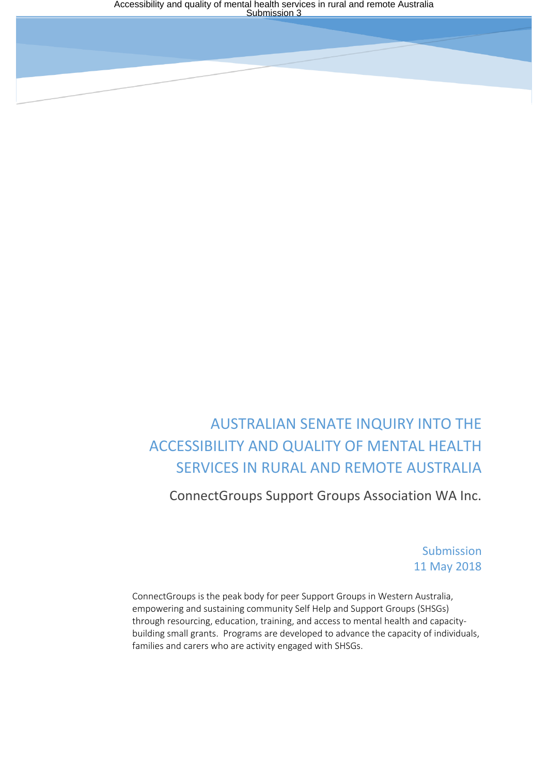# AUSTRALIAN SENATE INQUIRY INTO THE ACCESSIBILITY AND QUALITY OF MENTAL HEALTH SERVICES IN RURAL AND REMOTE AUSTRALIA

ConnectGroups Support Groups Association WA Inc.

Submission 11 May 2018

ConnectGroups is the peak body for peer Support Groups in Western Australia, empowering and sustaining community Self Help and Support Groups (SHSGs) through resourcing, education, training, and access to mental health and capacitybuilding small grants. Programs are developed to advance the capacity of individuals, families and carers who are activity engaged with SHSGs.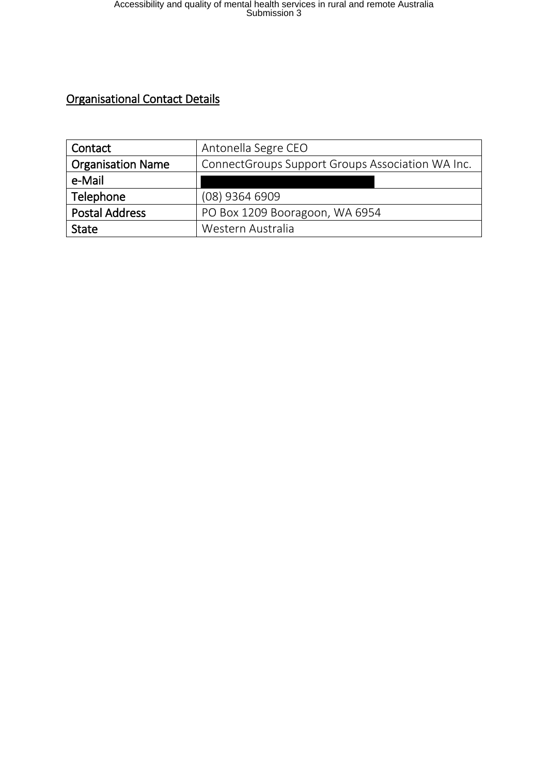# Organisational Contact Details

| Contact                  | Antonella Segre CEO                              |
|--------------------------|--------------------------------------------------|
| <b>Organisation Name</b> | ConnectGroups Support Groups Association WA Inc. |
| e-Mail                   |                                                  |
| Telephone                | (08) 9364 6909                                   |
| <b>Postal Address</b>    | PO Box 1209 Booragoon, WA 6954                   |
| <b>State</b>             | Western Australia                                |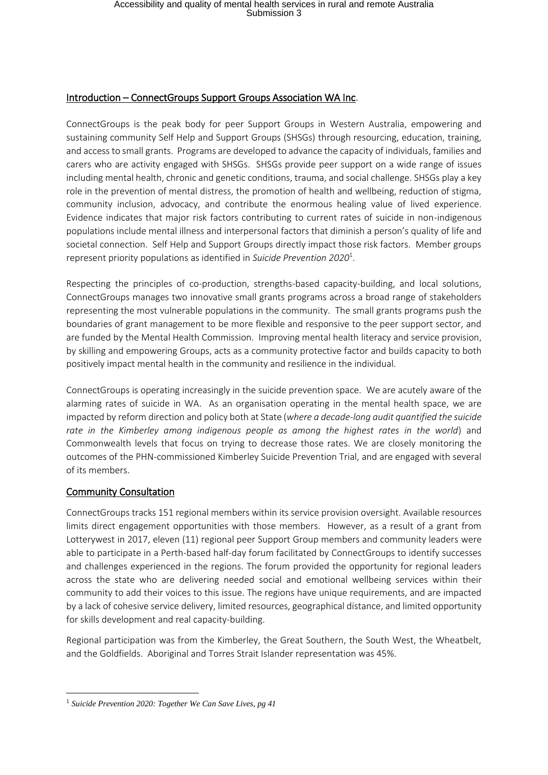#### Introduction – ConnectGroups Support Groups Association WA Inc.

ConnectGroups is the peak body for peer Support Groups in Western Australia, empowering and sustaining community Self Help and Support Groups (SHSGs) through resourcing, education, training, and access to small grants. Programs are developed to advance the capacity of individuals, families and carers who are activity engaged with SHSGs. SHSGs provide peer support on a wide range of issues including mental health, chronic and genetic conditions, trauma, and social challenge. SHSGs play a key role in the prevention of mental distress, the promotion of health and wellbeing, reduction of stigma, community inclusion, advocacy, and contribute the enormous healing value of lived experience. Evidence indicates that major risk factors contributing to current rates of suicide in non-indigenous populations include mental illness and interpersonal factors that diminish a person's quality of life and societal connection. Self Help and Support Groups directly impact those risk factors. Member groups represent priority populations as identified in *Suicide Prevention 2020*<sup>1</sup> .

Respecting the principles of co-production, strengths-based capacity-building, and local solutions, ConnectGroups manages two innovative small grants programs across a broad range of stakeholders representing the most vulnerable populations in the community. The small grants programs push the boundaries of grant management to be more flexible and responsive to the peer support sector, and are funded by the Mental Health Commission. Improving mental health literacy and service provision, by skilling and empowering Groups, acts as a community protective factor and builds capacity to both positively impact mental health in the community and resilience in the individual.

ConnectGroups is operating increasingly in the suicide prevention space. We are acutely aware of the alarming rates of suicide in WA. As an organisation operating in the mental health space, we are impacted by reform direction and policy both at State (*where a decade-long audit quantified the suicide rate in the Kimberley among indigenous people as among the highest rates in the world*) and Commonwealth levels that focus on trying to decrease those rates. We are closely monitoring the outcomes of the PHN-commissioned Kimberley Suicide Prevention Trial, and are engaged with several of its members.

## Community Consultation

**.** 

ConnectGroups tracks 151 regional members within its service provision oversight. Available resources limits direct engagement opportunities with those members. However, as a result of a grant from Lotterywest in 2017, eleven (11) regional peer Support Group members and community leaders were able to participate in a Perth-based half-day forum facilitated by ConnectGroups to identify successes and challenges experienced in the regions. The forum provided the opportunity for regional leaders across the state who are delivering needed social and emotional wellbeing services within their community to add their voices to this issue. The regions have unique requirements, and are impacted by a lack of cohesive service delivery, limited resources, geographical distance, and limited opportunity for skills development and real capacity-building.

Regional participation was from the Kimberley, the Great Southern, the South West, the Wheatbelt, and the Goldfields. Aboriginal and Torres Strait Islander representation was 45%.

<sup>1</sup> *Suicide Prevention 2020: Together We Can Save Lives, pg 41*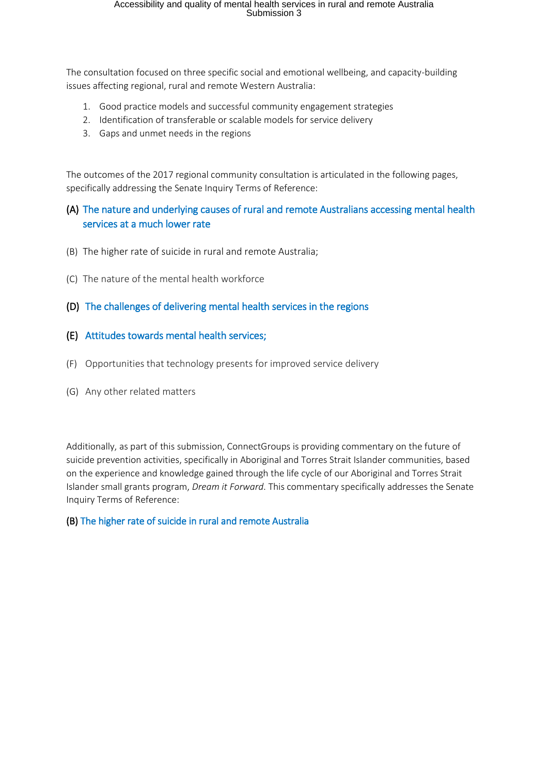The consultation focused on three specific social and emotional wellbeing, and capacity-building issues affecting regional, rural and remote Western Australia:

- 1. Good practice models and successful community engagement strategies
- 2. Identification of transferable or scalable models for service delivery
- 3. Gaps and unmet needs in the regions

The outcomes of the 2017 regional community consultation is articulated in the following pages, specifically addressing the Senate Inquiry Terms of Reference:

# (A) The nature and underlying causes of rural and remote Australians accessing mental health services at a much lower rate

- (B) The higher rate of suicide in rural and remote Australia;
- (C) The nature of the mental health workforce
- (D) The challenges of delivering mental health services in the regions
- (E) Attitudes towards mental health services;
- (F) Opportunities that technology presents for improved service delivery
- (G) Any other related matters

Additionally, as part of this submission, ConnectGroups is providing commentary on the future of suicide prevention activities, specifically in Aboriginal and Torres Strait Islander communities, based on the experience and knowledge gained through the life cycle of our Aboriginal and Torres Strait Islander small grants program, *Dream it Forward*. This commentary specifically addresses the Senate Inquiry Terms of Reference:

#### (B) The higher rate of suicide in rural and remote Australia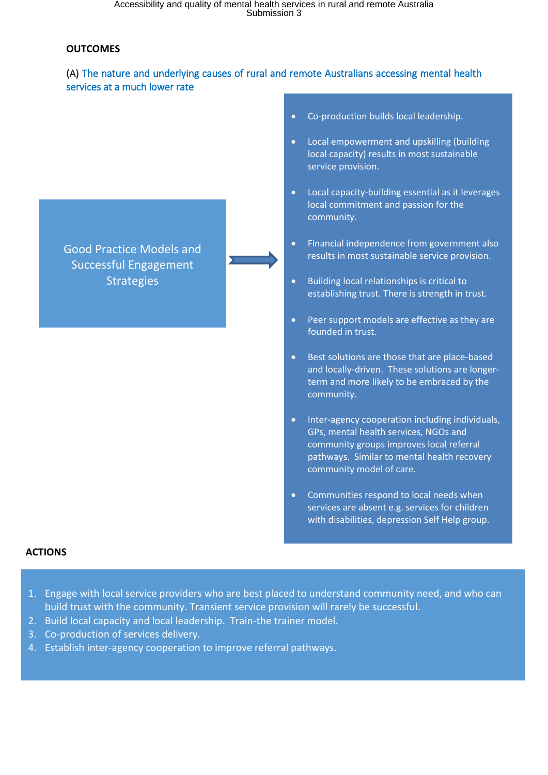#### **OUTCOMES**

L

## (A) The nature and underlying causes of rural and remote Australians accessing mental health services at a much lower rate



- Co-production builds local leadership.
- Local empowerment and upskilling (building local capacity) results in most sustainable service provision.
- Local capacity-building essential as it leverages local commitment and passion for the community.
- Financial independence from government also results in most sustainable service provision.
- Building local relationships is critical to establishing trust. There is strength in trust.
- Peer support models are effective as they are founded in trust.
- Best solutions are those that are place-based and locally-driven. These solutions are longerterm and more likely to be embraced by the community.
- Inter-agency cooperation including individuals, GPs, mental health services, NGOs and community groups improves local referral pathways. Similar to mental health recovery community model of care.
- Communities respond to local needs when services are absent e.g. services for children with disabilities, depression Self Help group.

#### **ACTIONS**

- 1. Engage with local service providers who are best placed to understand community need, and who can build trust with the community. Transient service provision will rarely be successful.
- 2. Build local capacity and local leadership. Train-the trainer model.
- 3. Co-production of services delivery.
- 4. Establish inter-agency cooperation to improve referral pathways.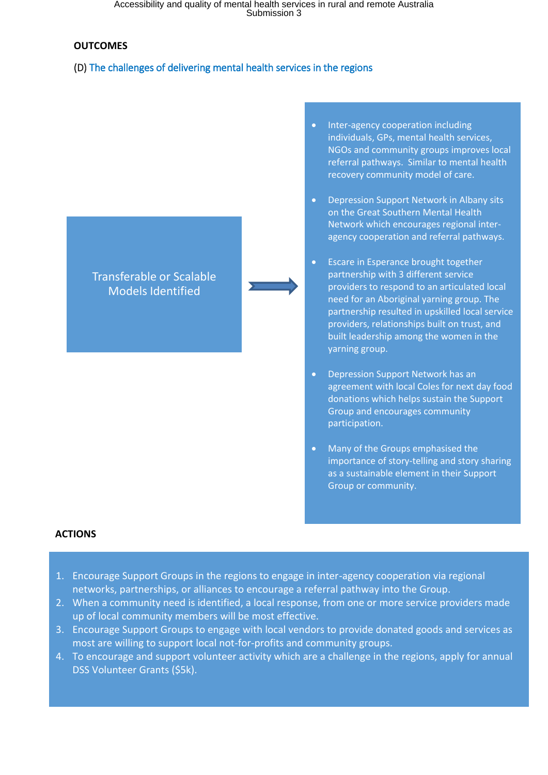Accessibility and quality of mental health services in rural and remote Australia Submission 3

#### **OUTCOMES**

#### (D) The challenges of delivering mental health services in the regions



- Inter-agency cooperation including individuals, GPs, mental health services, NGOs and community groups improves local referral pathways. Similar to mental health recovery community model of care.
- Depression Support Network in Albany sits on the Great Southern Mental Health Network which encourages regional interagency cooperation and referral pathways.
- Escare in Esperance brought together partnership with 3 different service providers to respond to an articulated local need for an Aboriginal yarning group. The partnership resulted in upskilled local service providers, relationships built on trust, and built leadership among the women in the yarning group.
- Depression Support Network has an agreement with local Coles for next day food donations which helps sustain the Support Group and encourages community participation.
- Many of the Groups emphasised the importance of story-telling and story sharing as a sustainable element in their Support Group or community.

#### **ACTIONS**

- 1. Encourage Support Groups in the regions to engage in inter-agency cooperation via regional networks, partnerships, or alliances to encourage a referral pathway into the Group.
- 2. When a community need is identified, a local response, from one or more service providers made up of local community members will be most effective.
- 3. Encourage Support Groups to engage with local vendors to provide donated goods and services as most are willing to support local not-for-profits and community groups.
- 4. To encourage and support volunteer activity which are a challenge in the regions, apply for annual DSS Volunteer Grants (\$5k).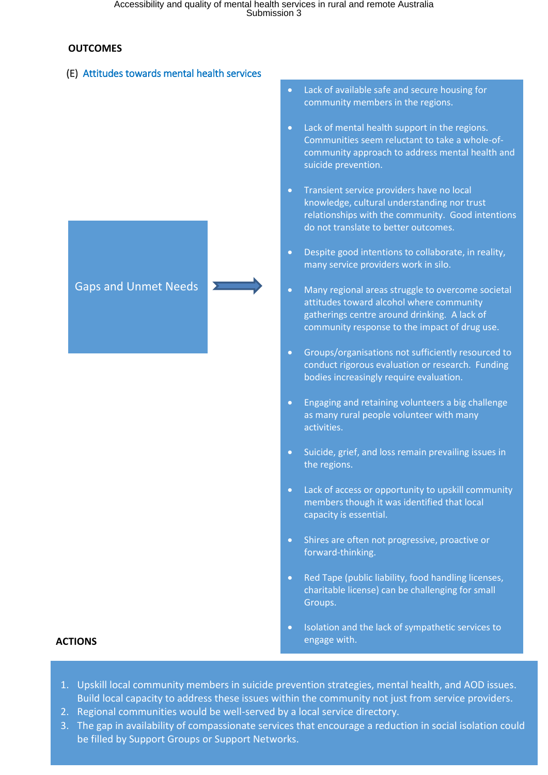#### **OUTCOMES**

## (E) Attitudes towards mental health services



- Lack of available safe and secure housing for community members in the regions.
- Lack of mental health support in the regions. Communities seem reluctant to take a whole-ofcommunity approach to address mental health and suicide prevention.
- Transient service providers have no local knowledge, cultural understanding nor trust relationships with the community. Good intentions do not translate to better outcomes.
- Despite good intentions to collaborate, in reality, many service providers work in silo.
- Many regional areas struggle to overcome societal attitudes toward alcohol where community gatherings centre around drinking. A lack of community response to the impact of drug use.
- Groups/organisations not sufficiently resourced to conduct rigorous evaluation or research. Funding bodies increasingly require evaluation.
- Engaging and retaining volunteers a big challenge as many rural people volunteer with many activities.
- Suicide, grief, and loss remain prevailing issues in the regions.
- Lack of access or opportunity to upskill community members though it was identified that local capacity is essential.
- Shires are often not progressive, proactive or forward-thinking.
- Red Tape (public liability, food handling licenses, charitable license) can be challenging for small Groups.
- Isolation and the lack of sympathetic services to engage with.

### **ACTIONS**

- 1. Upskill local community members in suicide prevention strategies, mental health, and AOD issues. Build local capacity to address these issues within the community not just from service providers.
- 2. Regional communities would be well-served by a local service directory.
- 3. The gap in availability of compassionate services that encourage a reduction in social isolation could be filled by Support Groups or Support Networks.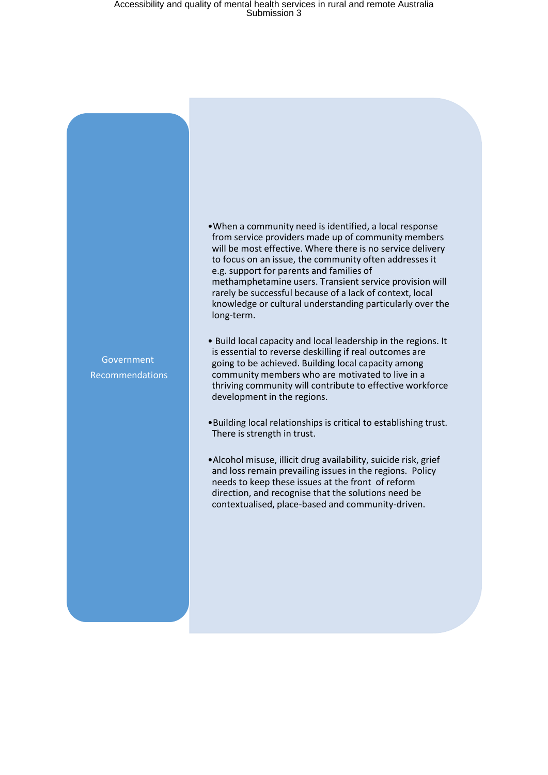# Accessibility and quality of mental health services in rural and remote Australia Submission 3

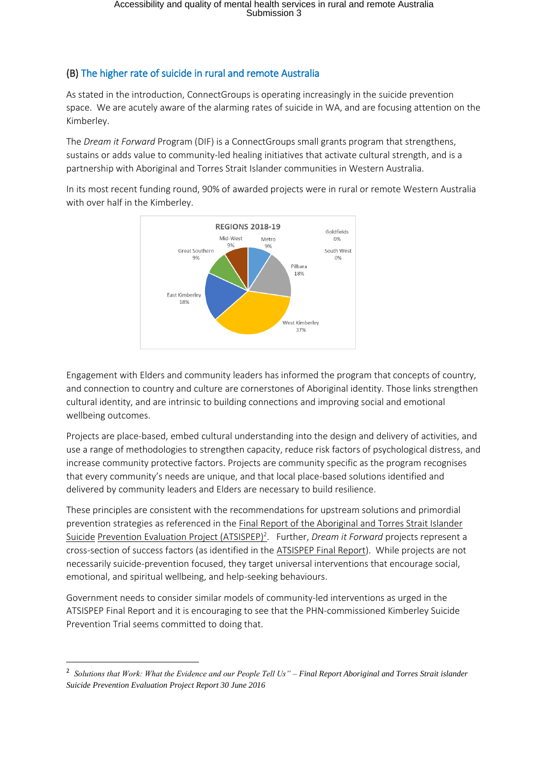# (B) The higher rate of suicide in rural and remote Australia

As stated in the introduction, ConnectGroups is operating increasingly in the suicide prevention space. We are acutely aware of the alarming rates of suicide in WA, and are focusing attention on the Kimberley.

The *Dream it Forward* Program (DIF) is a ConnectGroups small grants program that strengthens, sustains or adds value to community-led healing initiatives that activate cultural strength, and is a partnership with Aboriginal and Torres Strait Islander communities in Western Australia.

In its most recent funding round, 90% of awarded projects were in rural or remote Western Australia with over half in the Kimberley.



Engagement with Elders and community leaders has informed the program that concepts of country, and connection to country and culture are cornerstones of Aboriginal identity. Those links strengthen cultural identity, and are intrinsic to building connections and improving social and emotional wellbeing outcomes.

Projects are place-based, embed cultural understanding into the design and delivery of activities, and use a range of methodologies to strengthen capacity, reduce risk factors of psychological distress, and increase community protective factors. Projects are community specific as the program recognises that every community's needs are unique, and that local place-based solutions identified and delivered by community leaders and Elders are necessary to build resilience.

These principles are consistent with the recommendations for upstream solutions and primordial prevention strategies as referenced in the Final Report of the Aboriginal and Torres Strait Islander Suicide Prevention Evaluation Project (ATSISPEP)<sup>2</sup>. Further, *Dream it Forward* projects represent a cross-section of success factors (as identified in the ATSISPEP Final Report). While projects are not necessarily suicide-prevention focused, they target universal interventions that encourage social, emotional, and spiritual wellbeing, and help-seeking behaviours.

Government needs to consider similar models of community-led interventions as urged in the ATSISPEP Final Report and it is encouraging to see that the PHN-commissioned Kimberley Suicide Prevention Trial seems committed to doing that.

**.** 

<sup>2</sup> *Solutions that Work: What the Evidence and our People Tell Us" – Final Report Aboriginal and Torres Strait islander Suicide Prevention Evaluation Project Report 30 June 2016*